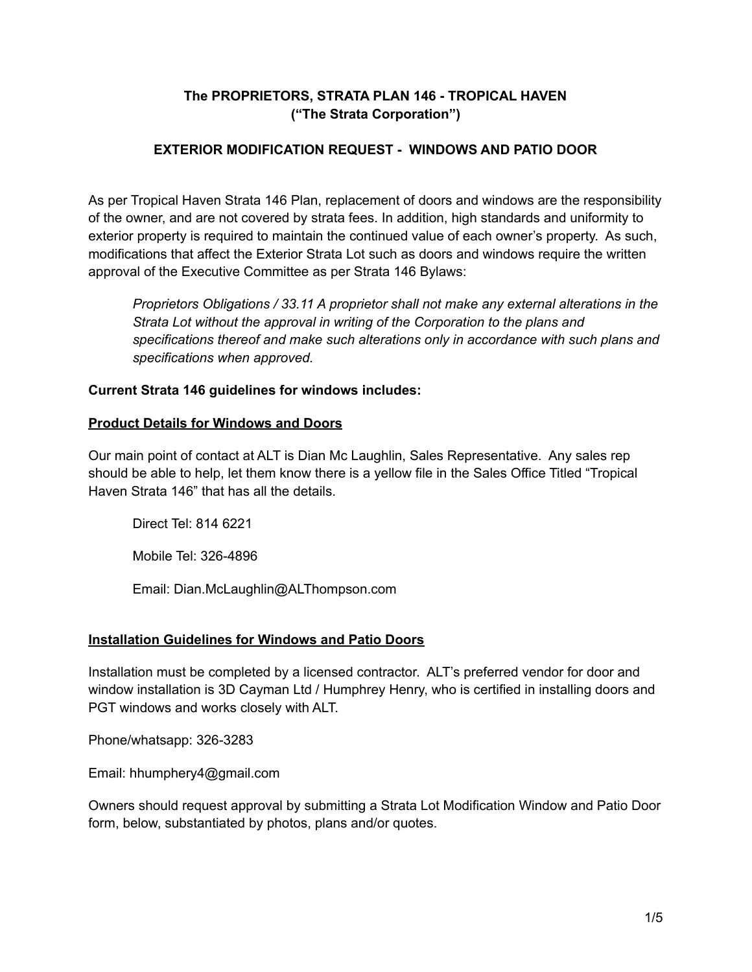# **The PROPRIETORS, STRATA PLAN 146 - TROPICAL HAVEN ("The Strata Corporation")**

# **EXTERIOR MODIFICATION REQUEST - WINDOWS AND PATIO DOOR**

As per Tropical Haven Strata 146 Plan, replacement of doors and windows are the responsibility of the owner, and are not covered by strata fees. In addition, high standards and uniformity to exterior property is required to maintain the continued value of each owner's property. As such, modifications that affect the Exterior Strata Lot such as doors and windows require the written approval of the Executive Committee as per Strata 146 Bylaws:

*Proprietors Obligations / 33.11 A proprietor shall not make any external alterations in the Strata Lot without the approval in writing of the Corporation to the plans and specifications thereof and make such alterations only in accordance with such plans and specifications when approved.*

## **Current Strata 146 guidelines for windows includes:**

#### **Product Details for Windows and Doors**

Our main point of contact at ALT is Dian Mc Laughlin, Sales Representative. Any sales rep should be able to help, let them know there is a yellow file in the Sales Office Titled "Tropical Haven Strata 146" that has all the details.

Direct Tel: 814 6221

Mobile Tel: 326-4896

Email: Dian.McLaughlin@ALThompson.com

## **Installation Guidelines for Windows and Patio Doors**

Installation must be completed by a licensed contractor. ALT's preferred vendor for door and window installation is 3D Cayman Ltd / Humphrey Henry, who is certified in installing doors and PGT windows and works closely with ALT.

Phone/whatsapp: 326-3283

Email: hhumphery4@gmail.com

Owners should request approval by submitting a Strata Lot Modification Window and Patio Door form, below, substantiated by photos, plans and/or quotes.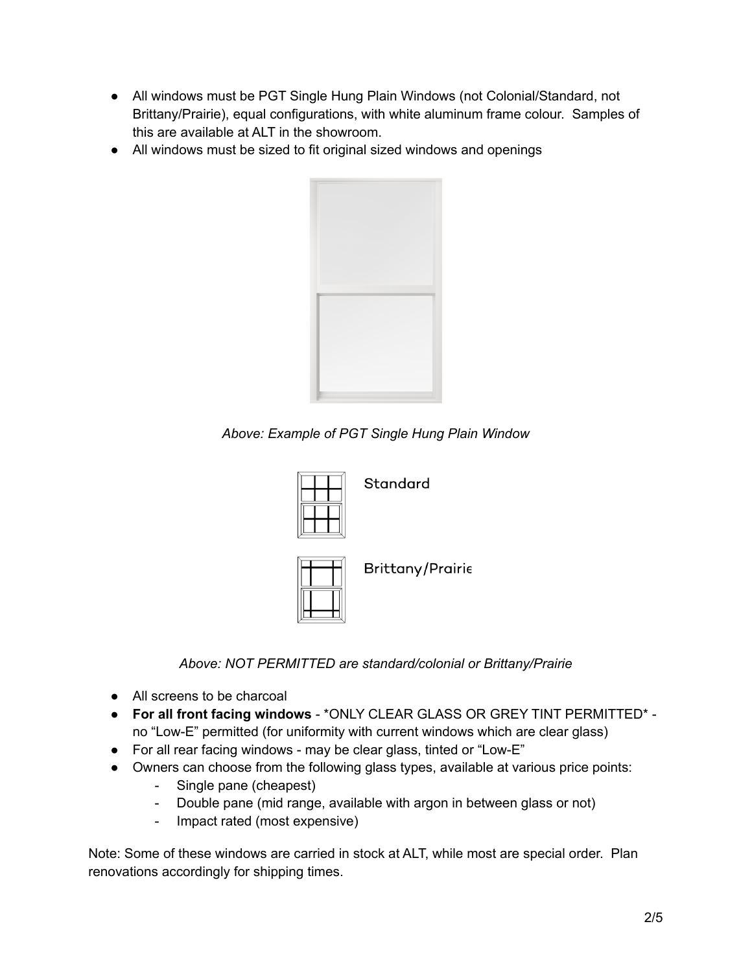- All windows must be PGT Single Hung Plain Windows (not Colonial/Standard, not Brittany/Prairie), equal configurations, with white aluminum frame colour. Samples of this are available at ALT in the showroom.
- All windows must be sized to fit original sized windows and openings



*Above: Example of PGT Single Hung Plain Window*



Standard



**Brittany/Prairie** 

*Above: NOT PERMITTED are standard/colonial or Brittany/Prairie*

- All screens to be charcoal
- **For all front facing windows** \*ONLY CLEAR GLASS OR GREY TINT PERMITTED\* no "Low-E" permitted (for uniformity with current windows which are clear glass)
- For all rear facing windows may be clear glass, tinted or "Low-E"
- Owners can choose from the following glass types, available at various price points:
	- Single pane (cheapest)
	- Double pane (mid range, available with argon in between glass or not)
	- Impact rated (most expensive)

Note: Some of these windows are carried in stock at ALT, while most are special order. Plan renovations accordingly for shipping times.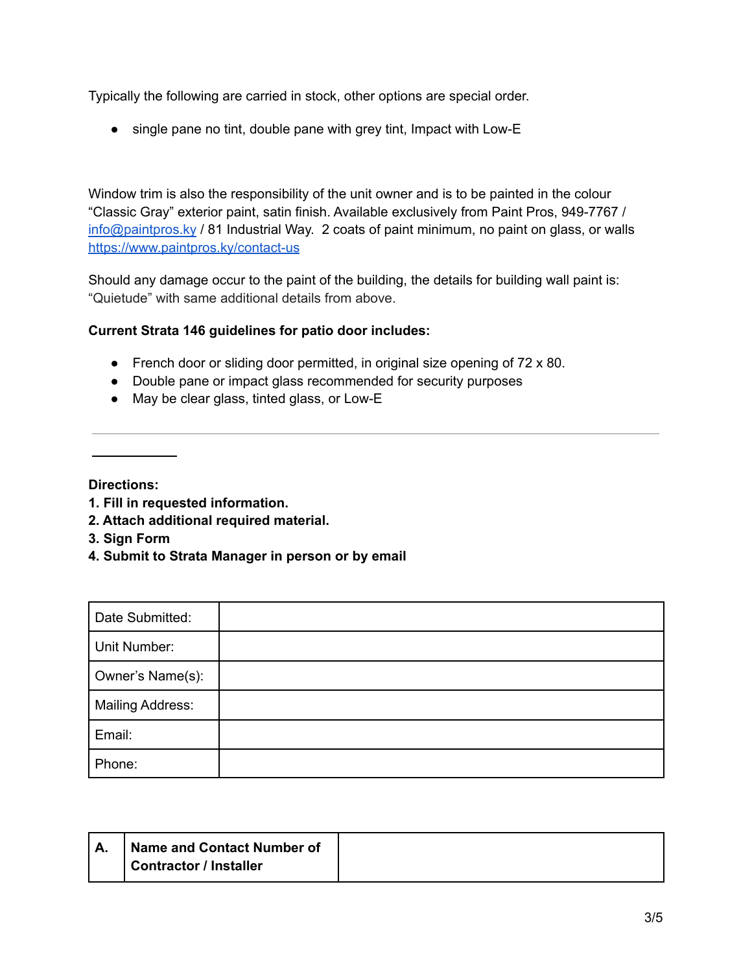Typically the following are carried in stock, other options are special order.

• single pane no tint, double pane with grey tint, Impact with Low-E

Window trim is also the responsibility of the unit owner and is to be painted in the colour "Classic Gray" exterior paint, satin finish. Available exclusively from Paint Pros, 949-7767 / [info@paintpros.ky](mailto:info@paintpros.ky) / 81 Industrial Way. 2 coats of paint minimum, no paint on glass, or walls <https://www.paintpros.ky/contact-us>

Should any damage occur to the paint of the building, the details for building wall paint is: "Quietude" with same additional details from above.

#### **Current Strata 146 guidelines for patio door includes:**

- French door or sliding door permitted, in original size opening of 72 x 80.
- Double pane or impact glass recommended for security purposes
- May be clear glass, tinted glass, or Low-E

**Directions:**

- **1. Fill in requested information.**
- **2. Attach additional required material.**
- **3. Sign Form**
- **4. Submit to Strata Manager in person or by email**

| Date Submitted:         |  |
|-------------------------|--|
| Unit Number:            |  |
| Owner's Name(s):        |  |
| <b>Mailing Address:</b> |  |
| Email:                  |  |
| Phone:                  |  |

| Name and Contact Number of |  |
|----------------------------|--|
| Contractor / Installer     |  |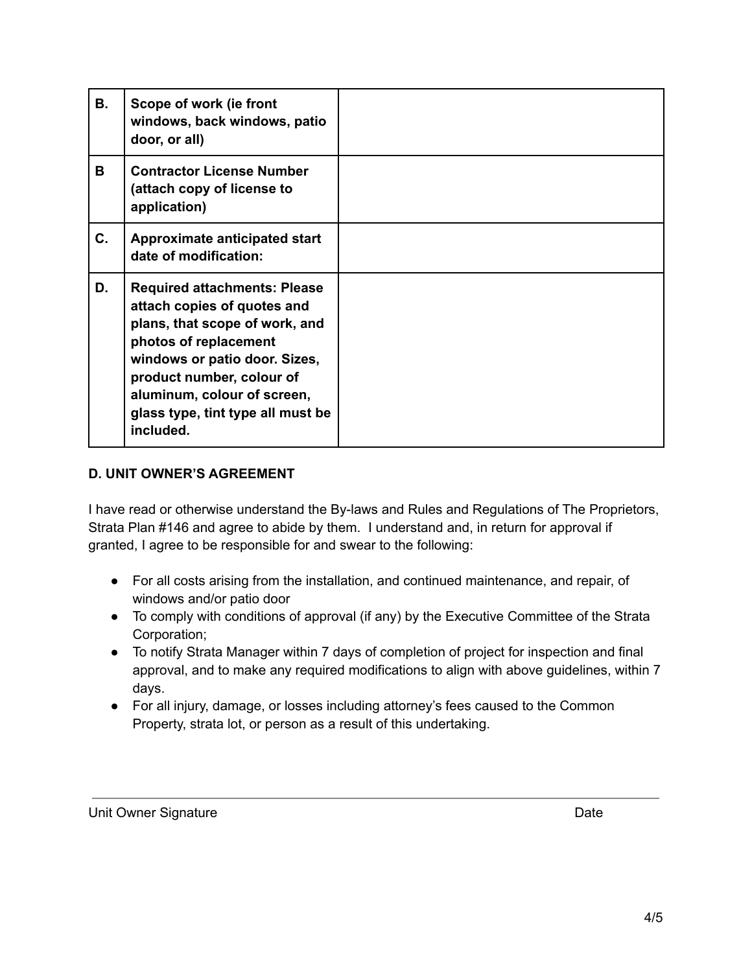| <b>B.</b> | Scope of work (ie front<br>windows, back windows, patio<br>door, or all)                                                                                                                                                                                                     |  |
|-----------|------------------------------------------------------------------------------------------------------------------------------------------------------------------------------------------------------------------------------------------------------------------------------|--|
| В         | <b>Contractor License Number</b><br>(attach copy of license to<br>application)                                                                                                                                                                                               |  |
| C.        | Approximate anticipated start<br>date of modification:                                                                                                                                                                                                                       |  |
| D.        | <b>Required attachments: Please</b><br>attach copies of quotes and<br>plans, that scope of work, and<br>photos of replacement<br>windows or patio door. Sizes,<br>product number, colour of<br>aluminum, colour of screen,<br>glass type, tint type all must be<br>included. |  |

#### **D. UNIT OWNER'S AGREEMENT**

I have read or otherwise understand the By-laws and Rules and Regulations of The Proprietors, Strata Plan #146 and agree to abide by them. I understand and, in return for approval if granted, I agree to be responsible for and swear to the following:

- For all costs arising from the installation, and continued maintenance, and repair, of windows and/or patio door
- To comply with conditions of approval (if any) by the Executive Committee of the Strata Corporation;
- To notify Strata Manager within 7 days of completion of project for inspection and final approval, and to make any required modifications to align with above guidelines, within 7 days.
- For all injury, damage, or losses including attorney's fees caused to the Common Property, strata lot, or person as a result of this undertaking.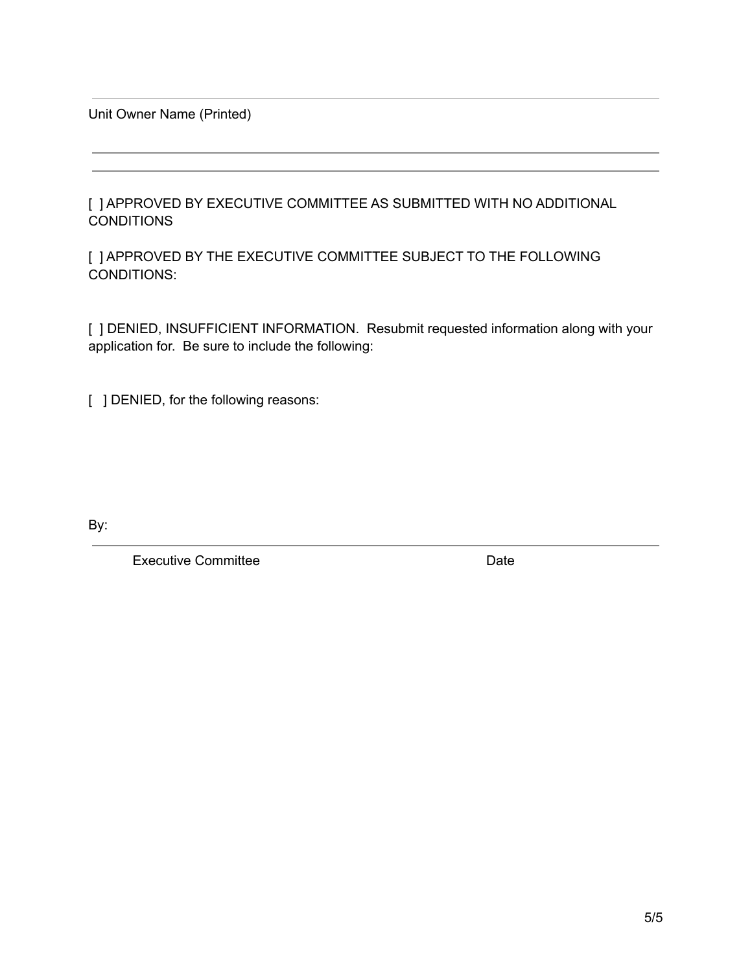Unit Owner Name (Printed)

[ ] APPROVED BY EXECUTIVE COMMITTEE AS SUBMITTED WITH NO ADDITIONAL **CONDITIONS** 

[ ] APPROVED BY THE EXECUTIVE COMMITTEE SUBJECT TO THE FOLLOWING CONDITIONS:

[ ] DENIED, INSUFFICIENT INFORMATION. Resubmit requested information along with your application for. Be sure to include the following:

[ ] DENIED, for the following reasons:

By:

Executive Committee **Date**